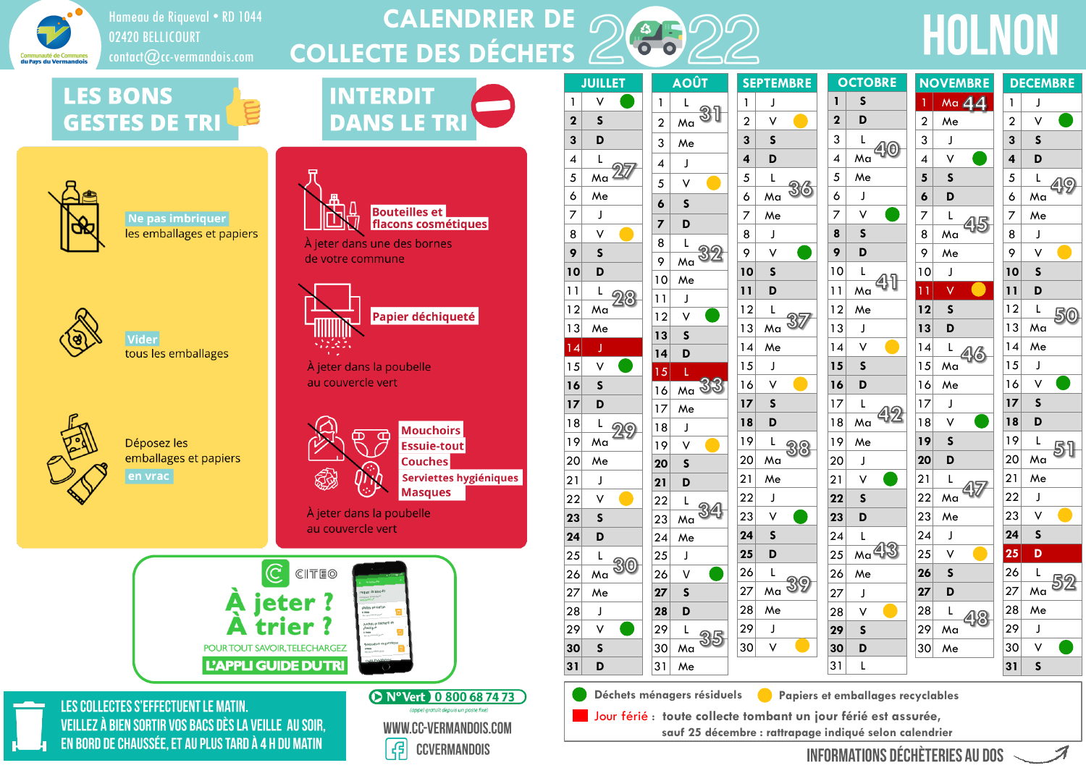

### Hameau de Riqueval • RD 1044 02420 BELLICOURT

#### **CALENDRIER DE COLLECTE DES DÉCHETS** Hameau de Riqueval • RD 1044<br>02420 BELLICOURT<br>contact@cc-vermandois.com **COLLECTE DES DÉCHETS**

# **LES BONS GESTES DE TRI**



**Bouteilles et** 

À jeter dans une des bornes

de votre commune

flacons cosmétiques



Ne pas imbriquer les emballages et papiers



Vider tous les emballages



Déposez les emballages et papiers en vrac



À jeter dans la poubelle au couvercle vert



LES COLLECTES S'EFFECTUENT LE MATIN. VEILLEZ À BIEN SORTIR VOS BACS DÈS LA VEILLE AU SOIR. EN BORD DE CHAUSSÉE, ET AU PLUS TARD À 4 H DU MATIN



|                          | <b>JUILLET</b>          |                              | <b>AOÛT</b>             | S                       |
|--------------------------|-------------------------|------------------------------|-------------------------|-------------------------|
| $\mathbf{1}$             |                         | 1                            | L                       | $\mathbf{1}$            |
| $\overline{\mathbf{c}}$  | S                       | $\overline{a}$               | Ma                      | $\overline{\mathbf{c}}$ |
| 3                        | D                       | 3                            | Me                      | 3                       |
| $\overline{\mathcal{A}}$ | L                       | 4                            | J                       | 4                       |
| 5                        | Ma                      | 5                            | V                       | 5                       |
| 6                        | Me                      | 6                            | S                       | 6                       |
| 7                        | J                       | 7                            | D                       | 7                       |
| 8                        | V                       | 8                            | L                       | 8                       |
| 9                        | S                       | 9                            | Ma                      | 9                       |
| 10                       | D                       | 10                           | Me                      | $\overline{\mathbf{1}}$ |
| 11                       | L                       | $\mathbf{1}$<br>$\mathbf{I}$ | J                       | 11                      |
| 12                       | Ma                      | 12                           | V                       | $\frac{1}{2}$           |
| 13                       | Me                      | 13                           | S                       | $\overline{1}$          |
| $\overline{14}$          | J                       | 14                           | D                       | $\mathbf{1}$            |
| 15                       | $\vee$                  | 15                           | Ĺ                       | $\frac{1}{2}$           |
| 16                       | S                       | 16                           | Ma                      | $\mathbf{1}$            |
| 17                       | D                       | 17                           | Me                      | $\overline{17}$         |
| 18                       | L                       | 18                           | J                       | 18                      |
| 19                       | Ma                      | 19                           | V                       | $\overline{1}$          |
| 20                       | Me                      | 20                           | S                       | $\overline{2}$          |
| 21                       | J                       | 21                           | D                       | 21                      |
| 22                       | V                       | 22                           | L                       | $\overline{2}$          |
| 23                       | $\mathsf{s}$            | 23                           | Ma                      | 23                      |
| 24                       | D                       | 24                           | Me                      | 2 <sup>2</sup>          |
| 25                       | L                       | 25                           | J                       | 25                      |
| 26                       | Ma                      | 26                           | V                       | 2 <sub>0</sub>          |
| 27                       | Me                      | 27                           | $\overline{\mathsf{s}}$ | 27                      |
| 28                       | J                       | 28                           | D                       | 28                      |
| 29                       | V                       | 29                           | L                       | 2 <sup>5</sup>          |
| 30                       | $\overline{\mathsf{s}}$ | 30                           | Ma                      | 30                      |

|    |                | <b>SEPTEMBRE</b> |   |             | <b>OCTOBRE</b> |  |
|----|----------------|------------------|---|-------------|----------------|--|
| 1  |                | J                |   | 1           | S              |  |
|    | $\overline{c}$ | V                |   | $\mathbf 2$ | D              |  |
|    | 3              | S                |   | 3           | L              |  |
| 4  |                | D                |   | 4           | Ma             |  |
|    | 5              | L                |   | 5           | Me             |  |
|    | 6              | Ma               | 6 | 6           | J              |  |
|    | 7              | Me               |   | 7           | v              |  |
|    | 8              | J                |   | 8           | $\mathsf{s}$   |  |
|    | 9              | V                |   | 9           | D              |  |
|    | 10             | S                |   | 10          | L              |  |
| 11 |                | D                |   | 11          | Ma             |  |
|    | 12             | L                |   | 12          | Me             |  |
|    | 13             | Ma               |   | 13          | J              |  |
|    | 14             | Me               |   | 14          | V              |  |
|    | 15             | J                |   | 15          | $\mathsf{s}$   |  |
|    | 16             | V                |   | 16          | D              |  |
|    | 17             | S                |   | 17          | L              |  |
|    | 18             | D                |   | 18          | Ma             |  |
|    | 19             | L                |   | 19          | Me             |  |
|    | 20             | Ma               |   | 20          | J              |  |
| 21 |                | Me               |   | 21          | V              |  |
|    | 22             | J                |   | 22          | S              |  |
|    | 23             | ٧                |   | 23          | D              |  |
|    | 24             | S                |   | 24          | $\mathsf L$    |  |
|    | 25             | D                |   | 25          | Ma             |  |
|    | 26             | L                |   | 26          | Me             |  |
|    | 27             | Ma               |   | 27          | J              |  |
|    | 28             | Me               |   | 28          | V              |  |
|    | 29             | J                |   | 29          | S              |  |
|    | 30             |                  |   | 30          | D              |  |
|    |                |                  |   | 31          | L              |  |

| <b>TOBRE</b> |                 | <b>NOVEMBRE</b> |                |                | <b>DECEMBRE</b> |  |
|--------------|-----------------|-----------------|----------------|----------------|-----------------|--|
| S            | 1               |                 | M <sub>a</sub> | $\mathbf{1}$   | J               |  |
| D            | $\overline{a}$  | Me              |                | $\overline{a}$ | V               |  |
| L            | 3               | J               |                | 3              | $\mathsf{s}$    |  |
| Θ<br>٨a      | 4               | $\checkmark$    |                | 4              | D               |  |
| ٨e           | 5               | $\mathsf{s}$    |                | 5              | L               |  |
| J            | 6               | D               |                | 6              | Ma              |  |
| V            | 7               | $\mathsf L$     |                | 7              | Me              |  |
| $\mathsf{s}$ | 8               | Ma              |                | 8              | J               |  |
| D            | 9               | Me              |                | 9              | V               |  |
| L            | 10              | J               |                | 10             | $\mathsf{s}$    |  |
| ٨a           | $\overline{11}$ | V               |                | 11             | D               |  |
| ٨e           | 12              | $\mathsf{s}$    |                | 12             | $\mathsf L$     |  |
| J            | 13              | D               |                | 13             | Ma              |  |
| V            | 4               | L               |                | 14             | Me              |  |
| $\mathsf{s}$ | 15              | Ma              |                | 15             | J               |  |
| D            | 16              | Me              |                | 16             | V               |  |
| L            | 17              | J               |                | 17             | $\mathsf{s}$    |  |
| ۸a           | 18              | $\vee$          |                | 18             | D               |  |
| ٨e           | 19              | $\mathsf{s}$    |                | 19             | L               |  |
| J            | 20              | D               |                | 20             | Ma              |  |
| V            | 21              | L               |                | 21             | Me              |  |
| S            | 22              | Ma              |                | 22             | J               |  |
| D            | 23              | Me              |                | 23             | V               |  |
| L            | 24              | J               |                | 24             | $\mathsf{s}$    |  |
| .<br>Aa      | 25              | $\checkmark$    |                | 25             | D               |  |
| ٨e           | 26              | $\mathsf{s}$    |                | 26             | L               |  |
| J            | 27              | D               |                | 27             | Ma              |  |
| V            | 28              | L               |                | 28             | Me              |  |
| $\mathsf{s}$ | 29              | Ma              |                | 29             | J               |  |
| D            | 30              | Me              |                | 30             | V               |  |

**S**

 $|31|$  Me

**D**

**Déchets ménagers résiduels Papiers et emballages recyclables**

Jour férié : **toute collecte tombant un jour férié est assurée,**

**sauf 25 décembre : rattrapage indiqué selon calendrier**

**INFORMATIONS DÉCHÈTERIES AU DOS**